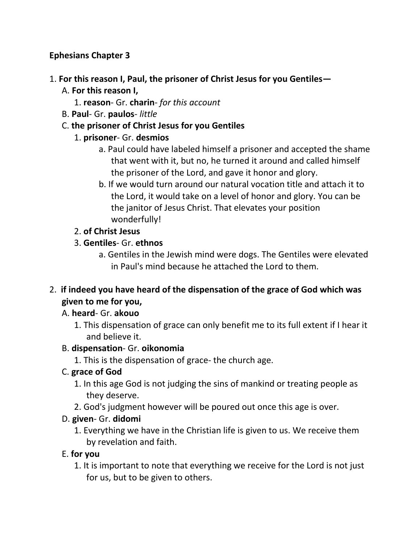### **Ephesians Chapter 3**

### 1. **For this reason I, Paul, the prisoner of Christ Jesus for you Gentiles—**

- A. **For this reason I,**
	- 1. **reason** Gr. **charin** *for this account*
- B. **Paul** Gr. **paulos** *little*

### C. **the prisoner of Christ Jesus for you Gentiles**

### 1. **prisoner**- Gr. **desmios**

- a. Paul could have labeled himself a prisoner and accepted the shame that went with it, but no, he turned it around and called himself the prisoner of the Lord, and gave it honor and glory.
- b. If we would turn around our natural vocation title and attach it to the Lord, it would take on a level of honor and glory. You can be the janitor of Jesus Christ. That elevates your position wonderfully!

### 2. **of Christ Jesus**

### 3. **Gentiles**- Gr. **ethnos**

a. Gentiles in the Jewish mind were dogs. The Gentiles were elevated in Paul's mind because he attached the Lord to them.

## 2. **if indeed you have heard of the dispensation of the grace of God which was given to me for you,**

### A. **heard**- Gr. **akouo**

1. This dispensation of grace can only benefit me to its full extent if I hear it and believe it.

### B. **dispensation**- Gr. **oikonomia**

1. This is the dispensation of grace- the church age.

# C. **grace of God**

- 1. In this age God is not judging the sins of mankind or treating people as they deserve.
- 2. God's judgment however will be poured out once this age is over.

### D. **given**- Gr. **didomi**

1. Everything we have in the Christian life is given to us. We receive them by revelation and faith.

# E. **for you**

1. It is important to note that everything we receive for the Lord is not just for us, but to be given to others.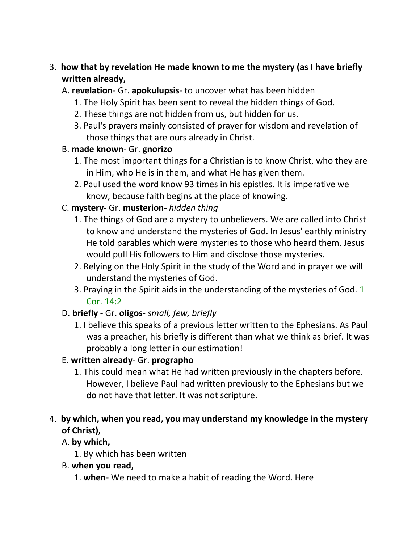## 3. **how that by revelation He made known to me the mystery (as I have briefly written already,**

- A. **revelation** Gr. **apokulupsis** to uncover what has been hidden
	- 1. The Holy Spirit has been sent to reveal the hidden things of God.
	- 2. These things are not hidden from us, but hidden for us.
	- 3. Paul's prayers mainly consisted of prayer for wisdom and revelation of those things that are ours already in Christ.

#### B. **made known**- Gr. **gnorizo**

- 1. The most important things for a Christian is to know Christ, who they are in Him, who He is in them, and what He has given them.
- 2. Paul used the word know 93 times in his epistles. It is imperative we know, because faith begins at the place of knowing.

### C. **mystery**- Gr. **musterion**- *hidden thing*

- 1. The things of God are a mystery to unbelievers. We are called into Christ to know and understand the mysteries of God. In Jesus' earthly ministry He told parables which were mysteries to those who heard them. Jesus would pull His followers to Him and disclose those mysteries.
- 2. Relying on the Holy Spirit in the study of the Word and in prayer we will understand the mysteries of God.
- 3. Praying in the Spirit aids in the understanding of the mysteries of God. 1 Cor. 14:2

### D. **briefly** - Gr. **oligos**- *small, few, briefly*

1. I believe this speaks of a previous letter written to the Ephesians. As Paul was a preacher, his briefly is different than what we think as brief. It was probably a long letter in our estimation!

### E. **written already**- Gr. **prographo**

1. This could mean what He had written previously in the chapters before. However, I believe Paul had written previously to the Ephesians but we do not have that letter. It was not scripture.

## 4. **by which, when you read, you may understand my knowledge in the mystery of Christ),**

### A. **by which,**

1. By which has been written

### B. **when you read,**

1. **when**- We need to make a habit of reading the Word. Here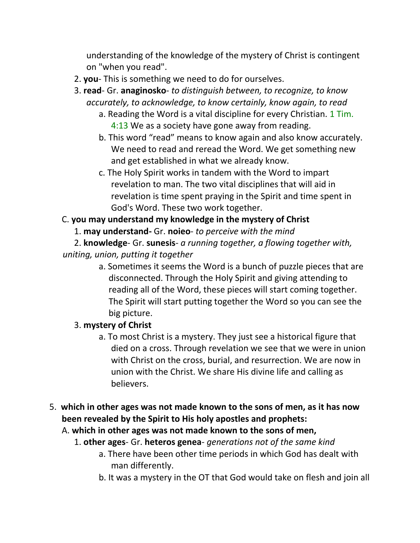understanding of the knowledge of the mystery of Christ is contingent on "when you read".

- 2. **you** This is something we need to do for ourselves.
- 3. **read** Gr. **anaginosko** *to distinguish between, to recognize, to know accurately, to acknowledge, to know certainly, know again, to read*
	- a. Reading the Word is a vital discipline for every Christian. 1 Tim. 4:13 We as a society have gone away from reading.
	- b. This word "read" means to know again and also know accurately. We need to read and reread the Word. We get something new and get established in what we already know.
	- c. The Holy Spirit works in tandem with the Word to impart revelation to man. The two vital disciplines that will aid in revelation is time spent praying in the Spirit and time spent in God's Word. These two work together.

## C. **you may understand my knowledge in the mystery of Christ**

1. **may understand-** Gr. **noieo**- *to perceive with the mind*

2. **knowledge**- Gr. **sunesis**- *a running together, a flowing together with, uniting, union, putting it together*

> a. Sometimes it seems the Word is a bunch of puzzle pieces that are disconnected. Through the Holy Spirit and giving attending to reading all of the Word, these pieces will start coming together. The Spirit will start putting together the Word so you can see the big picture.

# 3. **mystery of Christ**

- a. To most Christ is a mystery. They just see a historical figure that died on a cross. Through revelation we see that we were in union with Christ on the cross, burial, and resurrection. We are now in union with the Christ. We share His divine life and calling as believers.
- 5. **which in other ages was not made known to the sons of men, as it has now been revealed by the Spirit to His holy apostles and prophets:** 
	- A. **which in other ages was not made known to the sons of men,**
		- 1. **other ages** Gr. **heteros genea** *generations not of the same kind*
			- a. There have been other time periods in which God has dealt with man differently.
			- b. It was a mystery in the OT that God would take on flesh and join all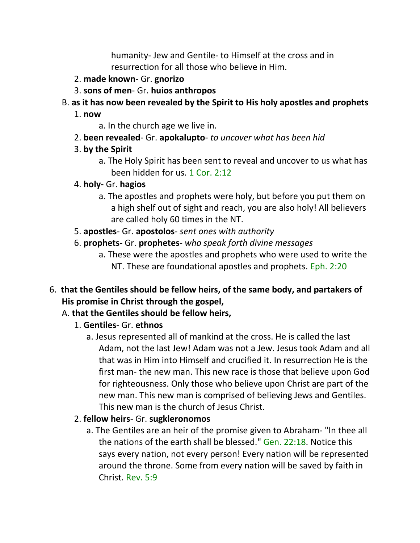humanity- Jew and Gentile- to Himself at the cross and in resurrection for all those who believe in Him.

- 2. **made known** Gr. **gnorizo**
- 3. **sons of men** Gr. **huios anthropos**
- B. **as it has now been revealed by the Spirit to His holy apostles and prophets**
	- 1. **now**
		- a. In the church age we live in.
	- 2. **been revealed** Gr. **apokalupto** *to uncover what has been hid*
	- 3. **by the Spirit**
		- a. The Holy Spirit has been sent to reveal and uncover to us what has been hidden for us. 1 Cor. 2:12
	- 4. **holy-** Gr. **hagios**
		- a. The apostles and prophets were holy, but before you put them on a high shelf out of sight and reach, you are also holy! All believers are called holy 60 times in the NT.
	- 5. **apostles** Gr. **apostolos** *sent ones with authority*
	- 6. **prophets-** Gr. **prophetes** *who speak forth divine messages*
		- a. These were the apostles and prophets who were used to write the NT. These are foundational apostles and prophets. Eph. 2:20
- 6. **that the Gentiles should be fellow heirs, of the same body, and partakers of His promise in Christ through the gospel,** 
	- A. **that the Gentiles should be fellow heirs,**
		- 1. **Gentiles** Gr. **ethnos**
			- a. Jesus represented all of mankind at the cross. He is called the last Adam, not the last Jew! Adam was not a Jew. Jesus took Adam and all that was in Him into Himself and crucified it. In resurrection He is the first man- the new man. This new race is those that believe upon God for righteousness. Only those who believe upon Christ are part of the new man. This new man is comprised of believing Jews and Gentiles. This new man is the church of Jesus Christ.
		- 2. **fellow heirs** Gr. **sugkleronomos**
			- a. The Gentiles are an heir of the promise given to Abraham- "In thee all the nations of the earth shall be blessed." Gen. 22:18. Notice this says every nation, not every person! Every nation will be represented around the throne. Some from every nation will be saved by faith in Christ. Rev. 5:9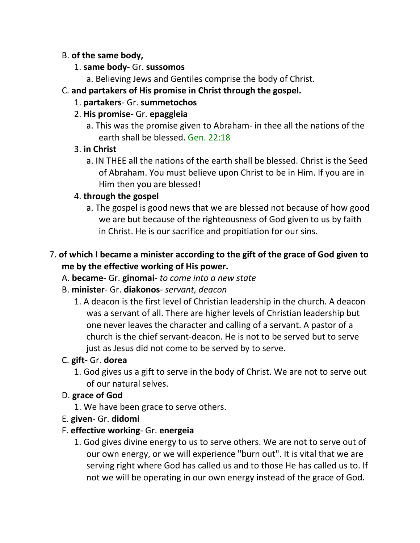#### B. **of the same body,**

- 1. **same body** Gr. **sussomos**
	- a. Believing Jews and Gentiles comprise the body of Christ.

## C. **and partakers of His promise in Christ through the gospel.**

1. **partakers**- Gr. **summetochos**

## 2. **His promise-** Gr. **epaggleia**

a. This was the promise given to Abraham- in thee all the nations of the earth shall be blessed. Gen. 22:18

## 3. **in Christ**

a. IN THEE all the nations of the earth shall be blessed. Christ is the Seed of Abraham. You must believe upon Christ to be in Him. If you are in Him then you are blessed!

## 4. **through the gospel**

a. The gospel is good news that we are blessed not because of how good we are but because of the righteousness of God given to us by faith in Christ. He is our sacrifice and propitiation for our sins.

# 7. **of which I became a minister according to the gift of the grace of God given to me by the effective working of His power.**

- A. **became** Gr. **ginomai** *to come into a new state*
- B. **minister** Gr. **diakonos** *servant, deacon*
	- 1. A deacon is the first level of Christian leadership in the church. A deacon was a servant of all. There are higher levels of Christian leadership but one never leaves the character and calling of a servant. A pastor of a church is the chief servant-deacon. He is not to be served but to serve just as Jesus did not come to be served by to serve.

# C. **gift-** Gr. **dorea**

1. God gives us a gift to serve in the body of Christ. We are not to serve out of our natural selves.

# D. **grace of God**

- 1. We have been grace to serve others.
- E. **given** Gr. **didomi**
- F. **effective working** Gr. **energeia**
	- 1. God gives divine energy to us to serve others. We are not to serve out of our own energy, or we will experience "burn out". It is vital that we are serving right where God has called us and to those He has called us to. If not we will be operating in our own energy instead of the grace of God.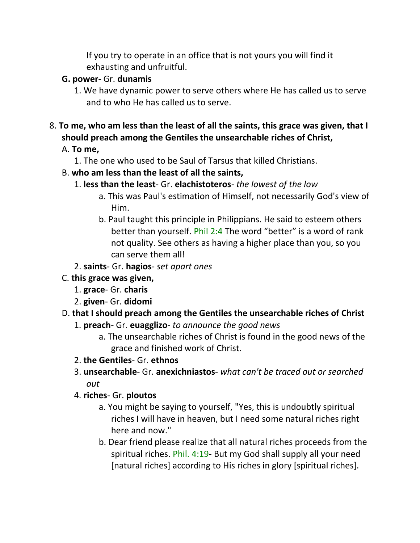If you try to operate in an office that is not yours you will find it exhausting and unfruitful.

### **G. power-** Gr. **dunamis**

- 1. We have dynamic power to serve others where He has called us to serve and to who He has called us to serve.
- 8. **To me, who am less than the least of all the saints, this grace was given, that I should preach among the Gentiles the unsearchable riches of Christ,**

### A. **To me,**

1. The one who used to be Saul of Tarsus that killed Christians.

### B. **who am less than the least of all the saints,**

- 1. **less than the least** Gr. **elachistoteros** *the lowest of the low*
	- a. This was Paul's estimation of Himself, not necessarily God's view of Him.
	- b. Paul taught this principle in Philippians. He said to esteem others better than yourself. Phil 2:4 The word "better" is a word of rank not quality. See others as having a higher place than you, so you can serve them all!
- 2. **saints** Gr. **hagios** *set apart ones*
- C. **this grace was given,**
	- 1. **grace** Gr. **charis**
	- 2. **given** Gr. **didomi**

### D. **that I should preach among the Gentiles the unsearchable riches of Christ**

- 1. **preach** Gr. **euagglizo** *to announce the good news*
	- a. The unsearchable riches of Christ is found in the good news of the grace and finished work of Christ.
- 2. **the Gentiles** Gr. **ethnos**
- 3. **unsearchable** Gr. **anexichniastos** *what can't be traced out or searched out*
- 4. **riches** Gr. **ploutos**
	- a. You might be saying to yourself, "Yes, this is undoubtly spiritual riches I will have in heaven, but I need some natural riches right here and now."
	- b. Dear friend please realize that all natural riches proceeds from the spiritual riches. Phil. 4:19- But my God shall supply all your need [natural riches] according to His riches in glory [spiritual riches].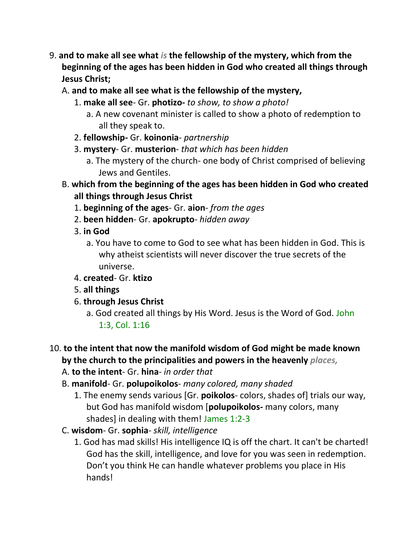- 9. **and to make all see what** *is* **the fellowship of the mystery, which from the beginning of the ages has been hidden in God who created all things through Jesus Christ;**
	- A. **and to make all see what is the fellowship of the mystery,**
		- 1. **make all see** Gr. **photizo-** *to show, to show a photo!*
			- a. A new covenant minister is called to show a photo of redemption to all they speak to.
		- 2. **fellowship-** Gr. **koinonia** *partnership*
		- 3. **mystery** Gr. **musterion** *that which has been hidden*
			- a. The mystery of the church- one body of Christ comprised of believing Jews and Gentiles.
	- B. **which from the beginning of the ages has been hidden in God who created all things through Jesus Christ**
		- 1. **beginning of the ages** Gr. **aion** *from the ages*
		- 2. **been hidden** Gr. **apokrupto** *hidden away*
		- 3. **in God**
			- a. You have to come to God to see what has been hidden in God. This is why atheist scientists will never discover the true secrets of the universe.
		- 4. **created** Gr. **ktizo**
		- 5. **all things**
		- 6. **through Jesus Christ**
			- a. God created all things by His Word. Jesus is the Word of God. John 1:3, Col. 1:16

#### 10. **to the intent that now the manifold wisdom of God might be made known by the church to the principalities and powers in the heavenly** *places,*

- A. **to the intent** Gr. **hina** *in order that*
- B. **manifold** Gr. **polupoikolos** *many colored, many shaded*
	- 1. The enemy sends various [Gr. **poikolos** colors, shades of] trials our way, but God has manifold wisdom [**polupoikolos-** many colors, many shades] in dealing with them! James 1:2-3
- C. **wisdom** Gr. **sophia** *skill, intelligence*
	- 1. God has mad skills! His intelligence IQ is off the chart. It can't be charted! God has the skill, intelligence, and love for you was seen in redemption. Don't you think He can handle whatever problems you place in His hands!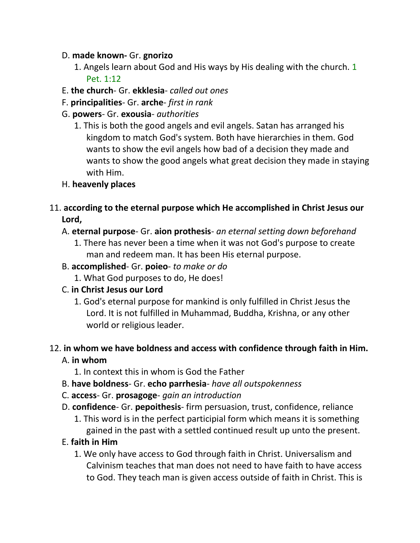#### D. **made known-** Gr. **gnorizo**

- 1. Angels learn about God and His ways by His dealing with the church. 1 Pet. 1:12
- E. **the church** Gr. **ekklesia** *called out ones*
- F. **principalities** Gr. **arche** *first in rank*
- G. **powers** Gr. **exousia** *authorities*
	- 1. This is both the good angels and evil angels. Satan has arranged his kingdom to match God's system. Both have hierarchies in them. God wants to show the evil angels how bad of a decision they made and wants to show the good angels what great decision they made in staying with Him.
- H. **heavenly places**
- 11. **according to the eternal purpose which He accomplished in Christ Jesus our Lord,**
	- A. **eternal purpose** Gr. **aion prothesis** *an eternal setting down beforehand*
		- 1. There has never been a time when it was not God's purpose to create man and redeem man. It has been His eternal purpose.
	- B. **accomplished** Gr. **poieo** *to make or do*
		- 1. What God purposes to do, He does!
	- C. **in Christ Jesus our Lord**
		- 1. God's eternal purpose for mankind is only fulfilled in Christ Jesus the Lord. It is not fulfilled in Muhammad, Buddha, Krishna, or any other world or religious leader.

# 12. **in whom we have boldness and access with confidence through faith in Him.**

#### A. **in whom**

- 1. In context this in whom is God the Father
- B. **have boldness** Gr. **echo parrhesia** *have all outspokenness*
- C. **access** Gr. **prosagoge** *gain an introduction*
- D. **confidence** Gr. **pepoithesis** firm persuasion, trust, confidence, reliance
	- 1. This word is in the perfect participial form which means it is something gained in the past with a settled continued result up unto the present.

### E. **faith in Him**

1. We only have access to God through faith in Christ. Universalism and Calvinism teaches that man does not need to have faith to have access to God. They teach man is given access outside of faith in Christ. This is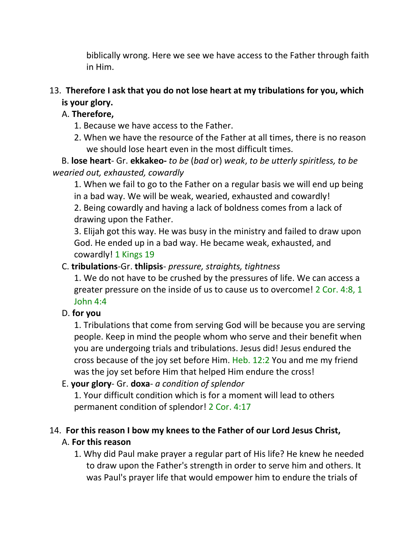biblically wrong. Here we see we have access to the Father through faith in Him.

## 13. **Therefore I ask that you do not lose heart at my tribulations for you, which is your glory.**

## A. **Therefore,**

- 1. Because we have access to the Father.
- 2. When we have the resource of the Father at all times, there is no reason we should lose heart even in the most difficult times.

 B. **lose heart**- Gr. **ekkakeo-** *to be* (*bad* or) *weak*, *to be utterly spiritless, to be wearied out, exhausted, cowardly*

1. When we fail to go to the Father on a regular basis we will end up being in a bad way. We will be weak, wearied, exhausted and cowardly!

2. Being cowardly and having a lack of boldness comes from a lack of drawing upon the Father.

3. Elijah got this way. He was busy in the ministry and failed to draw upon God. He ended up in a bad way. He became weak, exhausted, and cowardly! 1 Kings 19

### C. **tribulations**-Gr. **thlipsis**- *pressure, straights, tightness*

1. We do not have to be crushed by the pressures of life. We can access a greater pressure on the inside of us to cause us to overcome! 2 Cor. 4:8, 1 John 4:4

### D. **for you**

1. Tribulations that come from serving God will be because you are serving people. Keep in mind the people whom who serve and their benefit when you are undergoing trials and tribulations. Jesus did! Jesus endured the cross because of the joy set before Him. Heb. 12:2 You and me my friend was the joy set before Him that helped Him endure the cross!

### E. **your glory**- Gr. **doxa**- *a condition of splendor*

1. Your difficult condition which is for a moment will lead to others permanent condition of splendor! 2 Cor. 4:17

# 14. **For this reason I bow my knees to the Father of our Lord Jesus Christ,**

# A. **For this reason**

1. Why did Paul make prayer a regular part of His life? He knew he needed to draw upon the Father's strength in order to serve him and others. It was Paul's prayer life that would empower him to endure the trials of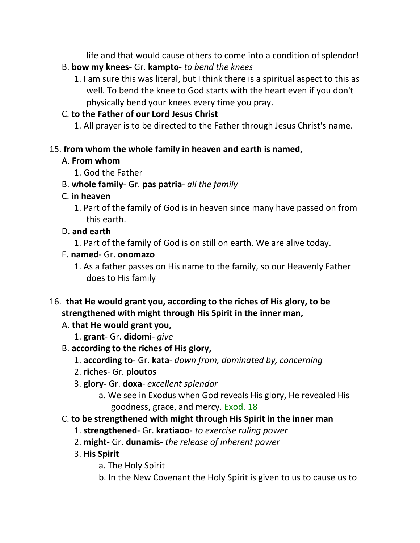life and that would cause others to come into a condition of splendor!

- B. **bow my knees-** Gr. **kampto** *to bend the knees*
	- 1. I am sure this was literal, but I think there is a spiritual aspect to this as well. To bend the knee to God starts with the heart even if you don't physically bend your knees every time you pray.

## C. **to the Father of our Lord Jesus Christ**

1. All prayer is to be directed to the Father through Jesus Christ's name.

### 15. **from whom the whole family in heaven and earth is named,**

## A. **From whom**

- 1. God the Father
- B. **whole family** Gr. **pas patria** *all the family*

## C. **in heaven**

1. Part of the family of God is in heaven since many have passed on from this earth.

# D. **and earth**

1. Part of the family of God is on still on earth. We are alive today.

## E. **named**- Gr. **onomazo**

- 1. As a father passes on His name to the family, so our Heavenly Father does to His family
- 16. **that He would grant you, according to the riches of His glory, to be strengthened with might through His Spirit in the inner man,** 
	- A. **that He would grant you,**
		- 1. **grant** Gr. **didomi** *give*
	- B. **according to the riches of His glory,**
		- 1. **according to** Gr. **kata** *down from, dominated by, concerning*
		- 2. **riches** Gr. **ploutos**
		- 3. **glory-** Gr. **doxa** *excellent splendor*
			- a. We see in Exodus when God reveals His glory, He revealed His goodness, grace, and mercy. Exod. 18
	- C. **to be strengthened with might through His Spirit in the inner man**
		- 1. **strengthened** Gr. **kratiaoo** *to exercise ruling power*
		- 2. **might** Gr. **dunamis** *the release of inherent power*
		- 3. **His Spirit**
			- a. The Holy Spirit
			- b. In the New Covenant the Holy Spirit is given to us to cause us to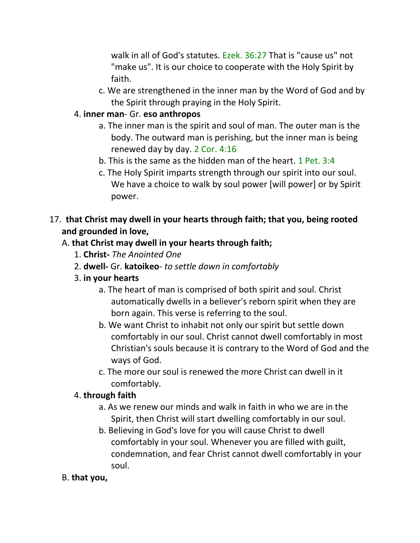walk in all of God's statutes. Ezek. 36:27 That is "cause us" not "make us". It is our choice to cooperate with the Holy Spirit by faith.

c. We are strengthened in the inner man by the Word of God and by the Spirit through praying in the Holy Spirit.

### 4. **inner man**- Gr. **eso anthropos**

- a. The inner man is the spirit and soul of man. The outer man is the body. The outward man is perishing, but the inner man is being renewed day by day. 2 Cor. 4:16
- b. This is the same as the hidden man of the heart. 1 Pet. 3:4
- c. The Holy Spirit imparts strength through our spirit into our soul. We have a choice to walk by soul power [will power] or by Spirit power.

# 17. **that Christ may dwell in your hearts through faith; that you, being rooted and grounded in love,**

# A. **that Christ may dwell in your hearts through faith;**

- 1. **Christ-** *The Anointed One*
- 2. **dwell-** Gr. **katoikeo** *to settle down in comfortably*
- 3. **in your hearts**
	- a. The heart of man is comprised of both spirit and soul. Christ automatically dwells in a believer's reborn spirit when they are born again. This verse is referring to the soul.
	- b. We want Christ to inhabit not only our spirit but settle down comfortably in our soul. Christ cannot dwell comfortably in most Christian's souls because it is contrary to the Word of God and the ways of God.
	- c. The more our soul is renewed the more Christ can dwell in it comfortably.

### 4. **through faith**

- a. As we renew our minds and walk in faith in who we are in the Spirit, then Christ will start dwelling comfortably in our soul.
- b. Believing in God's love for you will cause Christ to dwell comfortably in your soul. Whenever you are filled with guilt, condemnation, and fear Christ cannot dwell comfortably in your soul.

# B. **that you,**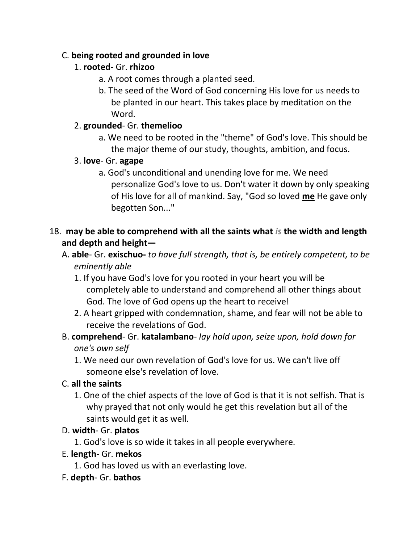### C. **being rooted and grounded in love**

# 1. **rooted**- Gr. **rhizoo**

- a. A root comes through a planted seed.
- b. The seed of the Word of God concerning His love for us needs to be planted in our heart. This takes place by meditation on the Word.

## 2. **grounded**- Gr. **themelioo**

a. We need to be rooted in the "theme" of God's love. This should be the major theme of our study, thoughts, ambition, and focus.

## 3. **love**- Gr. **agape**

a. God's unconditional and unending love for me. We need personalize God's love to us. Don't water it down by only speaking of His love for all of mankind. Say, "God so loved **me** He gave only begotten Son..."

## 18. **may be able to comprehend with all the saints what** *is* **the width and length and depth and height—**

- A. **able** Gr. **exischuo-** *to have full strength, that is, be entirely competent, to be eminently able*
	- 1. If you have God's love for you rooted in your heart you will be completely able to understand and comprehend all other things about God. The love of God opens up the heart to receive!
	- 2. A heart gripped with condemnation, shame, and fear will not be able to receive the revelations of God.
- B. **comprehend** Gr. **katalambano** *lay hold upon, seize upon, hold down for one's own self*
	- 1. We need our own revelation of God's love for us. We can't live off someone else's revelation of love.

# C. **all the saints**

1. One of the chief aspects of the love of God is that it is not selfish. That is why prayed that not only would he get this revelation but all of the saints would get it as well.

# D. **width**- Gr. **platos**

1. God's love is so wide it takes in all people everywhere.

### E. **length**- Gr. **mekos**

- 1. God has loved us with an everlasting love.
- F. **depth** Gr. **bathos**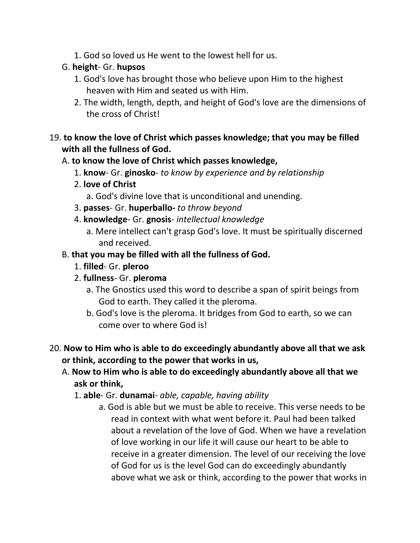1. God so loved us He went to the lowest hell for us.

## G. **height**- Gr. **hupsos**

- 1. God's love has brought those who believe upon Him to the highest heaven with Him and seated us with Him.
- 2. The width, length, depth, and height of God's love are the dimensions of the cross of Christ!

## 19. **to know the love of Christ which passes knowledge; that you may be filled with all the fullness of God.**

## A. **to know the love of Christ which passes knowledge,**

- 1. **know** Gr. **ginosko** *to know by experience and by relationship*
- 2. **love of Christ**
	- a. God's divine love that is unconditional and unending.
- 3. **passes** Gr. **huperballo-** *to throw beyond*
- 4. **knowledge** Gr. **gnosis** *intellectual knowledge*
	- a. Mere intellect can't grasp God's love. It must be spiritually discerned and received.

# B. **that you may be filled with all the fullness of God.**

- 1. **filled** Gr. **pleroo**
- 2. **fullness** Gr. **pleroma**
	- a. The Gnostics used this word to describe a span of spirit beings from God to earth. They called it the pleroma.
	- b. God's love is the pleroma. It bridges from God to earth, so we can come over to where God is!

## 20. **Now to Him who is able to do exceedingly abundantly above all that we ask or think, according to the power that works in us,**

- A. **Now to Him who is able to do exceedingly abundantly above all that we ask or think,**
	- 1. **able** Gr. **dunamai** *able, capable, having ability*
		- a. God is able but we must be able to receive. This verse needs to be read in context with what went before it. Paul had been talked about a revelation of the love of God. When we have a revelation of love working in our life it will cause our heart to be able to receive in a greater dimension. The level of our receiving the love of God for us is the level God can do exceedingly abundantly above what we ask or think, according to the power that works in